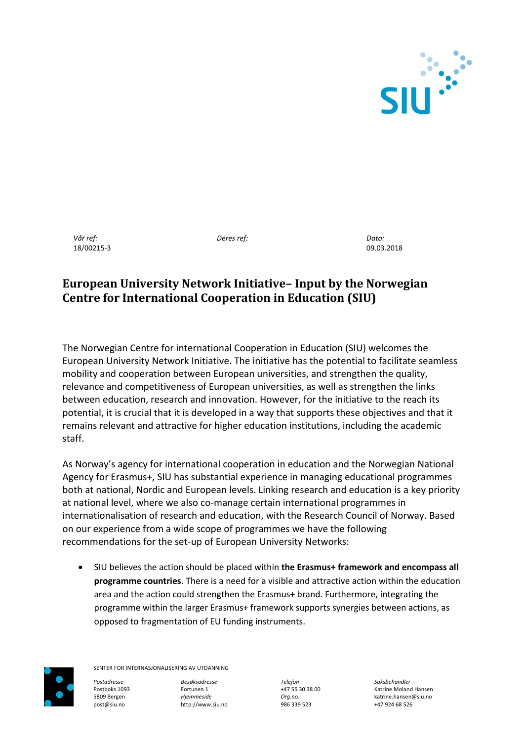

*Vår ref:* 18/00215-3 *Deres ref:*

*Dato:* 09.03.2018

# **European University Network Initiative– Input by the Norwegian Centre for International Cooperation in Education (SIU)**

The Norwegian Centre for international Cooperation in Education (SIU) welcomes the European University Network Initiative. The initiative has the potential to facilitate seamless mobility and cooperation between European universities, and strengthen the quality, relevance and competitiveness of European universities, as well as strengthen the links between education, research and innovation. However, for the initiative to the reach its potential, it is crucial that it is developed in a way that supports these objectives and that it remains relevant and attractive for higher education institutions, including the academic staff.

As Norway's agency for international cooperation in education and the Norwegian National Agency for Erasmus+, SIU has substantial experience in managing educational programmes both at national, Nordic and European levels. Linking research and education is a key priority at national level, where we also co-manage certain international programmes in internationalisation of research and education, with the Research Council of Norway. Based on our experience from a wide scope of programmes we have the following recommendations for the set-up of European University Networks:

 SIU believes the action should be placed within **the Erasmus+ framework and encompass all programme countries**. There is a need for a visible and attractive action within the education area and the action could strengthen the Erasmus+ brand. Furthermore, integrating the programme within the larger Erasmus+ framework supports synergies between actions, as opposed to fragmentation of EU funding instruments.



SENTER FOR INTERNASJONALISERING AV UTDANNING

*Postadresse Besøksadresse Telefon Saksbehandler* post@siu.no http://www.siu.no 986 339 523 +47 924 68 526

Postboks 1093 Fortunen 1 Fortunen 1 +47 55 30 38 00 Katrine Moland Hansen<br>1999 Bergen Fortuneside Hansen Boston Corg.no. Prog.no. And the Ratrine hansen @siu.no 5809 Bergen *Hjemmeside Org.no.* katrine.hansen@siu.no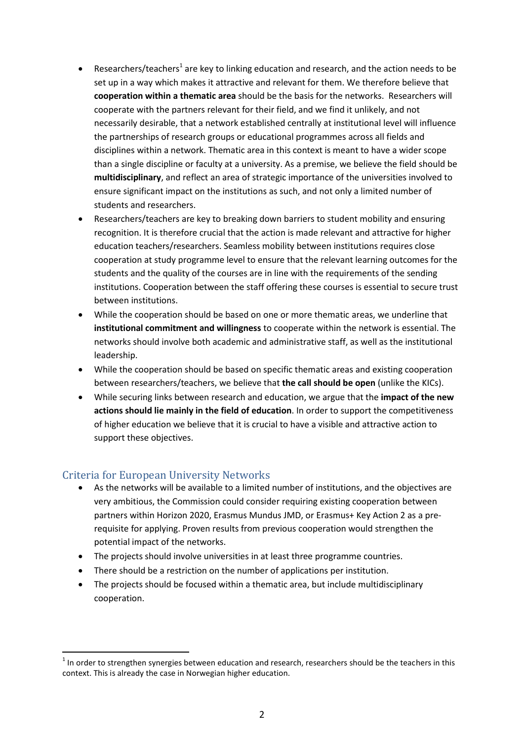- **•** Researchers/teachers<sup>1</sup> are key to linking education and research, and the action needs to be set up in a way which makes it attractive and relevant for them. We therefore believe that **cooperation within a thematic area** should be the basis for the networks. Researchers will cooperate with the partners relevant for their field, and we find it unlikely, and not necessarily desirable, that a network established centrally at institutional level will influence the partnerships of research groups or educational programmes across all fields and disciplines within a network. Thematic area in this context is meant to have a wider scope than a single discipline or faculty at a university. As a premise, we believe the field should be **multidisciplinary**, and reflect an area of strategic importance of the universities involved to ensure significant impact on the institutions as such, and not only a limited number of students and researchers.
- Researchers/teachers are key to breaking down barriers to student mobility and ensuring recognition. It is therefore crucial that the action is made relevant and attractive for higher education teachers/researchers. Seamless mobility between institutions requires close cooperation at study programme level to ensure that the relevant learning outcomes for the students and the quality of the courses are in line with the requirements of the sending institutions. Cooperation between the staff offering these courses is essential to secure trust between institutions.
- While the cooperation should be based on one or more thematic areas, we underline that **institutional commitment and willingness** to cooperate within the network is essential. The networks should involve both academic and administrative staff, as well as the institutional leadership.
- While the cooperation should be based on specific thematic areas and existing cooperation between researchers/teachers, we believe that **the call should be open** (unlike the KICs).
- While securing links between research and education, we argue that the **impact of the new actions should lie mainly in the field of education**. In order to support the competitiveness of higher education we believe that it is crucial to have a visible and attractive action to support these objectives.

# Criteria for European University Networks

 $\overline{a}$ 

- As the networks will be available to a limited number of institutions, and the objectives are very ambitious, the Commission could consider requiring existing cooperation between partners within Horizon 2020, Erasmus Mundus JMD, or Erasmus+ Key Action 2 as a prerequisite for applying. Proven results from previous cooperation would strengthen the potential impact of the networks.
- The projects should involve universities in at least three programme countries.
- There should be a restriction on the number of applications per institution.
- The projects should be focused within a thematic area, but include multidisciplinary cooperation.

 $<sup>1</sup>$  In order to strengthen synergies between education and research, researchers should be the teachers in this</sup> context. This is already the case in Norwegian higher education.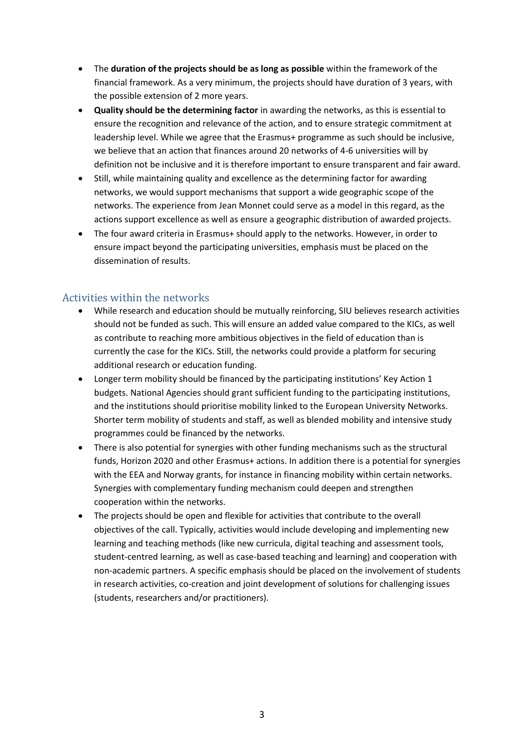- The **duration of the projects should be as long as possible** within the framework of the financial framework. As a very minimum, the projects should have duration of 3 years, with the possible extension of 2 more years.
- **Quality should be the determining factor** in awarding the networks, as this is essential to ensure the recognition and relevance of the action, and to ensure strategic commitment at leadership level. While we agree that the Erasmus+ programme as such should be inclusive, we believe that an action that finances around 20 networks of 4-6 universities will by definition not be inclusive and it is therefore important to ensure transparent and fair award.
- Still, while maintaining quality and excellence as the determining factor for awarding networks, we would support mechanisms that support a wide geographic scope of the networks. The experience from Jean Monnet could serve as a model in this regard, as the actions support excellence as well as ensure a geographic distribution of awarded projects.
- The four award criteria in Erasmus+ should apply to the networks. However, in order to ensure impact beyond the participating universities, emphasis must be placed on the dissemination of results.

#### Activities within the networks

- While research and education should be mutually reinforcing, SIU believes research activities should not be funded as such. This will ensure an added value compared to the KICs, as well as contribute to reaching more ambitious objectives in the field of education than is currently the case for the KICs. Still, the networks could provide a platform for securing additional research or education funding.
- Longer term mobility should be financed by the participating institutions' Key Action 1 budgets. National Agencies should grant sufficient funding to the participating institutions, and the institutions should prioritise mobility linked to the European University Networks. Shorter term mobility of students and staff, as well as blended mobility and intensive study programmes could be financed by the networks.
- There is also potential for synergies with other funding mechanisms such as the structural funds, Horizon 2020 and other Erasmus+ actions. In addition there is a potential for synergies with the EEA and Norway grants, for instance in financing mobility within certain networks. Synergies with complementary funding mechanism could deepen and strengthen cooperation within the networks.
- The projects should be open and flexible for activities that contribute to the overall objectives of the call. Typically, activities would include developing and implementing new learning and teaching methods (like new curricula, digital teaching and assessment tools, student-centred learning, as well as case-based teaching and learning) and cooperation with non-academic partners. A specific emphasis should be placed on the involvement of students in research activities, co-creation and joint development of solutions for challenging issues (students, researchers and/or practitioners).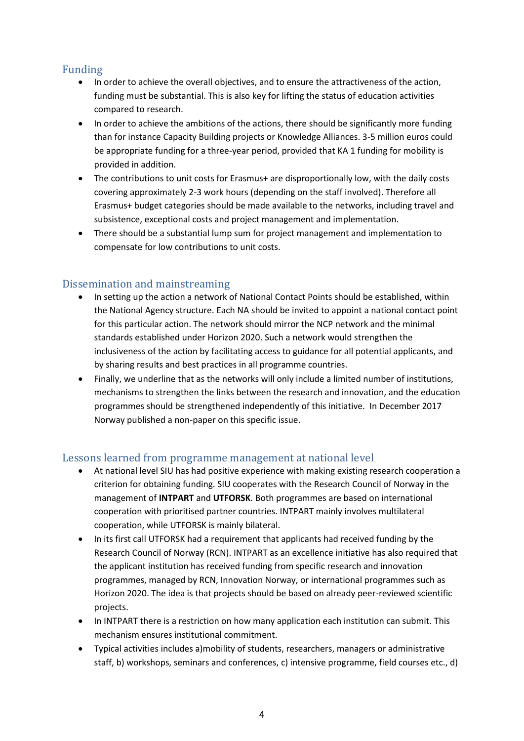# Funding

- In order to achieve the overall objectives, and to ensure the attractiveness of the action, funding must be substantial. This is also key for lifting the status of education activities compared to research.
- In order to achieve the ambitions of the actions, there should be significantly more funding than for instance Capacity Building projects or Knowledge Alliances. 3-5 million euros could be appropriate funding for a three-year period, provided that KA 1 funding for mobility is provided in addition.
- The contributions to unit costs for Erasmus+ are disproportionally low, with the daily costs covering approximately 2-3 work hours (depending on the staff involved). Therefore all Erasmus+ budget categories should be made available to the networks, including travel and subsistence, exceptional costs and project management and implementation.
- There should be a substantial lump sum for project management and implementation to compensate for low contributions to unit costs.

# Dissemination and mainstreaming

- In setting up the action a network of National Contact Points should be established, within the National Agency structure. Each NA should be invited to appoint a national contact point for this particular action. The network should mirror the NCP network and the minimal standards established under Horizon 2020. Such a network would strengthen the inclusiveness of the action by facilitating access to guidance for all potential applicants, and by sharing results and best practices in all programme countries.
- Finally, we underline that as the networks will only include a limited number of institutions, mechanisms to strengthen the links between the research and innovation, and the education programmes should be strengthened independently of this initiative. In December 2017 Norway published a non-paper on this specific issue.

# Lessons learned from programme management at national level

- At national level SIU has had positive experience with making existing research cooperation a criterion for obtaining funding. SIU cooperates with the Research Council of Norway in the management of **INTPART** and **UTFORSK**. Both programmes are based on international cooperation with prioritised partner countries. INTPART mainly involves multilateral cooperation, while UTFORSK is mainly bilateral.
- In its first call UTFORSK had a requirement that applicants had received funding by the Research Council of Norway (RCN). INTPART as an excellence initiative has also required that the applicant institution has received funding from specific research and innovation programmes, managed by RCN, Innovation Norway, or international programmes such as Horizon 2020. The idea is that projects should be based on already peer-reviewed scientific projects.
- In INTPART there is a restriction on how many application each institution can submit. This mechanism ensures institutional commitment.
- Typical activities includes a)mobility of students, researchers, managers or administrative staff, b) workshops, seminars and conferences, c) intensive programme, field courses etc., d)